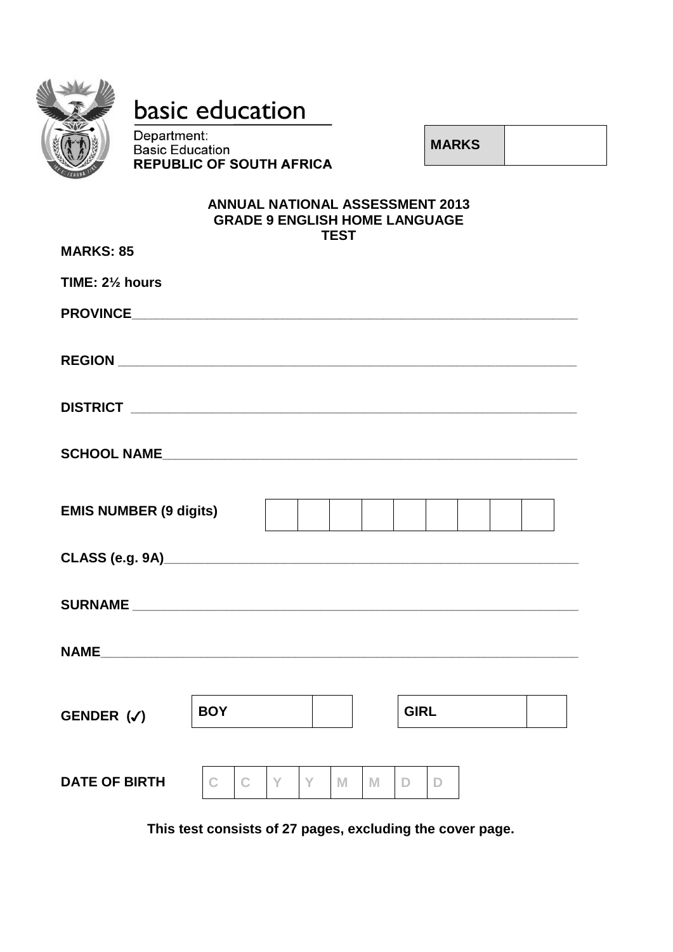

# basic education

Department: Bepartment:<br>Basic Education **REPUBLIC OF SOUTH AFRICA** 

**MARKS**

#### **ANNUAL NATIONAL ASSESSMENT 2013 GRADE 9 ENGLISH HOME LANGUAGE TEST**

| <b>MARKS: 85</b>              |              |              |    |    |   |   |             |    |  |  |
|-------------------------------|--------------|--------------|----|----|---|---|-------------|----|--|--|
| TIME: 21/2 hours              |              |              |    |    |   |   |             |    |  |  |
|                               |              |              |    |    |   |   |             |    |  |  |
|                               |              |              |    |    |   |   |             |    |  |  |
|                               |              |              |    |    |   |   |             |    |  |  |
|                               |              |              |    |    |   |   |             |    |  |  |
| <b>EMIS NUMBER (9 digits)</b> |              |              |    |    |   |   |             |    |  |  |
|                               |              |              |    |    |   |   |             |    |  |  |
|                               |              |              |    |    |   |   |             |    |  |  |
|                               |              |              |    |    |   |   |             |    |  |  |
| GENDER $(\checkmark)$         | <b>BOY</b>   |              |    |    |   |   | <b>GIRL</b> |    |  |  |
| <b>DATE OF BIRTH</b>          | $\mathsf{C}$ | $\mathbf{C}$ | Y. | Y. | M | M | D.          | D. |  |  |

**This test consists of 27 pages, excluding the cover page.**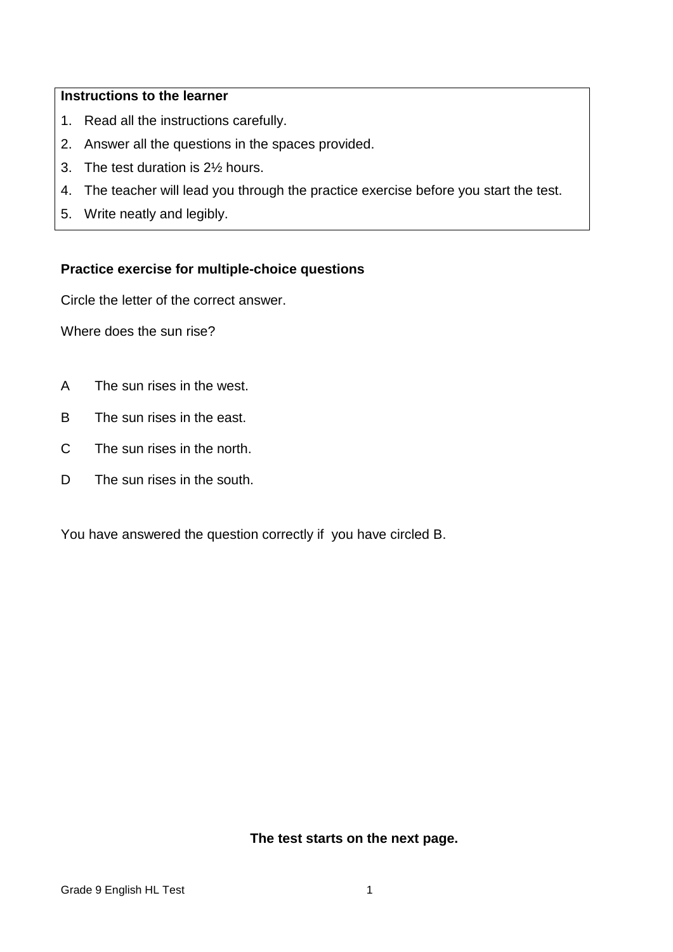#### **Instructions to the learner**

- 1. Read all the instructions carefully.
- 2. Answer all the questions in the spaces provided.
- 3. The test duration is 2½ hours.
- 4. The teacher will lead you through the practice exercise before you start the test.
- 5. Write neatly and legibly.

#### **Practice exercise for multiple-choice questions**

Circle the letter of the correct answer.

Where does the sun rise?

- A The sun rises in the west.
- B The sun rises in the east.
- C The sun rises in the north.
- D. The sun rises in the south.

You have answered the question correctly if you have circled B.

**The test starts on the next page.**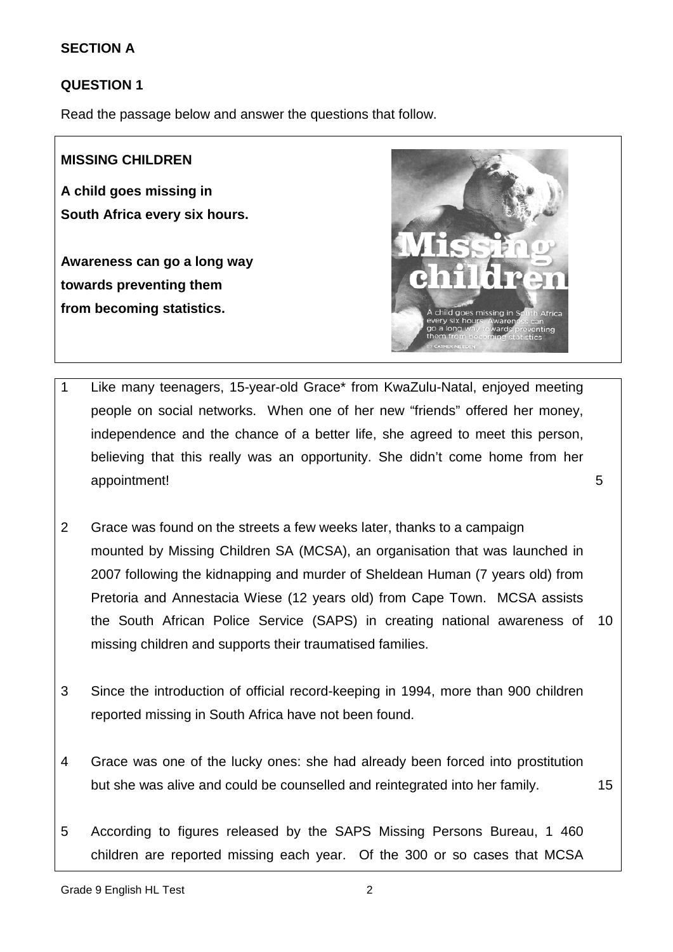#### **SECTION A**

#### **QUESTION 1**

Read the passage below and answer the questions that follow.

#### **MISSING CHILDREN**

**A child goes missing in South Africa every six hours.** 

**Awareness can go a long way towards preventing them from becoming statistics.**



- 1 Like many teenagers, 15-year-old Grace\* from KwaZulu-Natal, enjoyed meeting people on social networks. When one of her new "friends" offered her money, independence and the chance of a better life, she agreed to meet this person, believing that this really was an opportunity. She didn't come home from her appointment! 5
- 2 Grace was found on the streets a few weeks later, thanks to a campaign mounted by Missing Children SA (MCSA), an organisation that was launched in 2007 following the kidnapping and murder of Sheldean Human (7 years old) from Pretoria and Annestacia Wiese (12 years old) from Cape Town. MCSA assists the South African Police Service (SAPS) in creating national awareness of 10 missing children and supports their traumatised families.
- 3 Since the introduction of official record-keeping in 1994, more than 900 children reported missing in South Africa have not been found.
- 4 Grace was one of the lucky ones: she had already been forced into prostitution but she was alive and could be counselled and reintegrated into her family. 15
- 5 According to figures released by the SAPS Missing Persons Bureau, 1 460 children are reported missing each year. Of the 300 or so cases that MCSA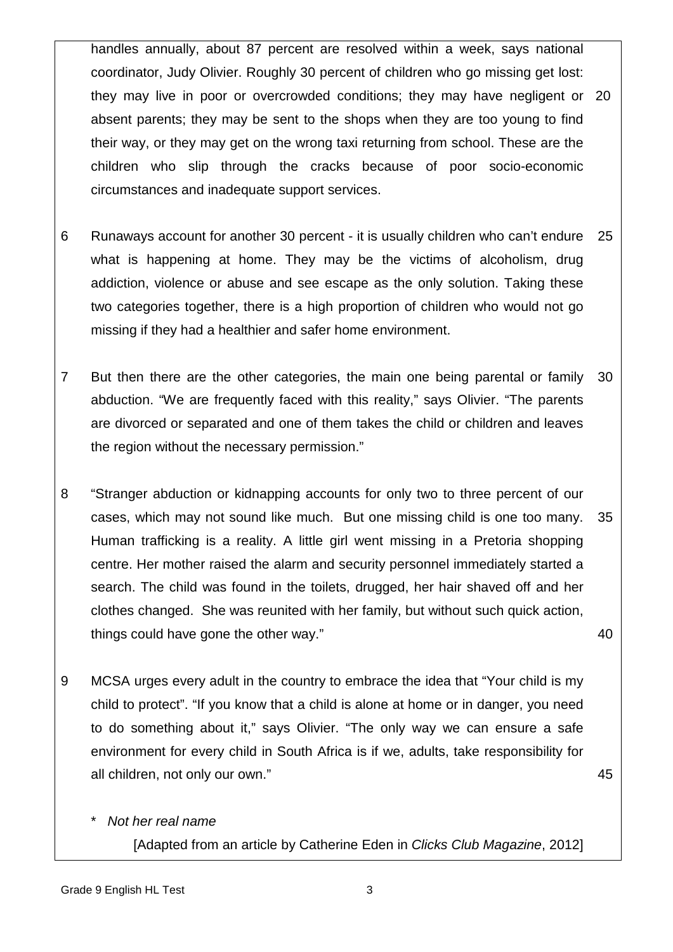handles annually, about 87 percent are resolved within a week, says national coordinator, Judy Olivier. Roughly 30 percent of children who go missing get lost: they may live in poor or overcrowded conditions; they may have negligent or 20 absent parents; they may be sent to the shops when they are too young to find their way, or they may get on the wrong taxi returning from school. These are the children who slip through the cracks because of poor socio-economic circumstances and inadequate support services.

- 6 Runaways account for another 30 percent - it is usually children who can't endure what is happening at home. They may be the victims of alcoholism, drug addiction, violence or abuse and see escape as the only solution. Taking these two categories together, there is a high proportion of children who would not go missing if they had a healthier and safer home environment. 25
- 7 But then there are the other categories, the main one being parental or family abduction. "We are frequently faced with this reality," says Olivier. "The parents are divorced or separated and one of them takes the child or children and leaves the region without the necessary permission." 30
- 8 "Stranger abduction or kidnapping accounts for only two to three percent of our cases, which may not sound like much. But one missing child is one too many. Human trafficking is a reality. A little girl went missing in a Pretoria shopping centre. Her mother raised the alarm and security personnel immediately started a search. The child was found in the toilets, drugged, her hair shaved off and her clothes changed. She was reunited with her family, but without such quick action, things could have gone the other way." 35 40
- 9 MCSA urges every adult in the country to embrace the idea that "Your child is my child to protect". "If you know that a child is alone at home or in danger, you need to do something about it," says Olivier. "The only way we can ensure a safe environment for every child in South Africa is if we, adults, take responsibility for all children, not only our own."

45

\* *Not her real name*

[Adapted from an article by Catherine Eden in *Clicks Club Magazine*, 2012]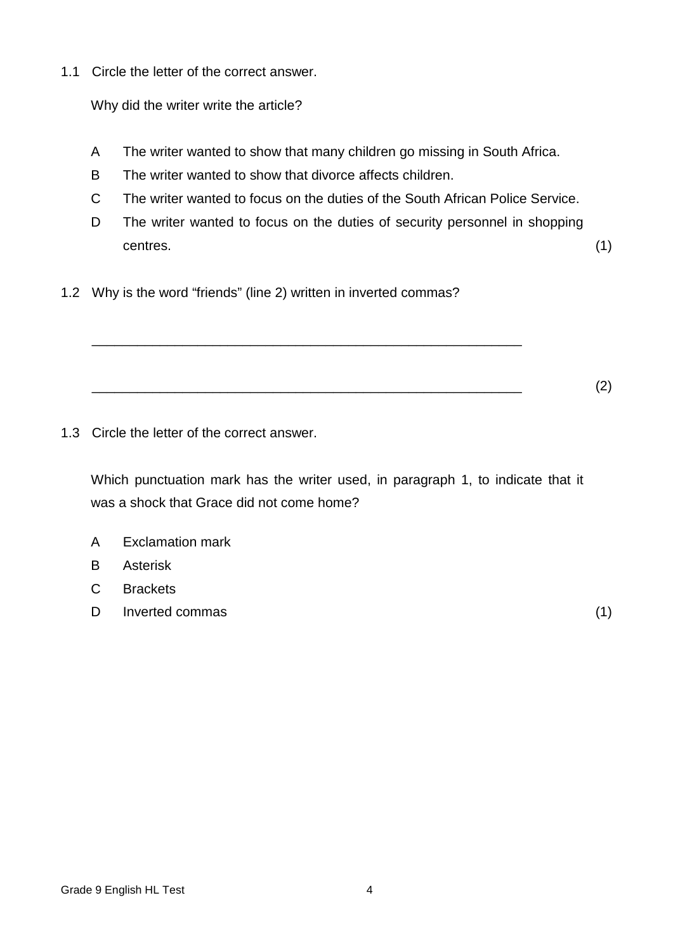1.1 Circle the letter of the correct answer.

Why did the writer write the article?

- A The writer wanted to show that many children go missing in South Africa.
- B The writer wanted to show that divorce affects children.
- C The writer wanted to focus on the duties of the South African Police Service.
- D The writer wanted to focus on the duties of security personnel in shopping  $centres.$   $(1)$
- 1.2 Why is the word "friends" (line 2) written in inverted commas?

\_\_\_\_\_\_\_\_\_\_\_\_\_\_\_\_\_\_\_\_\_\_\_\_\_\_\_\_\_\_\_\_\_\_\_\_\_\_\_\_\_\_\_\_\_\_\_\_\_\_\_\_\_\_\_\_\_

1.3 Circle the letter of the correct answer.

Which punctuation mark has the writer used, in paragraph 1, to indicate that it was a shock that Grace did not come home?

\_\_\_\_\_\_\_\_\_\_\_\_\_\_\_\_\_\_\_\_\_\_\_\_\_\_\_\_\_\_\_\_\_\_\_\_\_\_\_\_\_\_\_\_\_\_\_\_\_\_\_\_\_\_\_\_\_ (2)

- A Exclamation mark
- B Asterisk
- C **Brackets**
- D Inverted commas (1)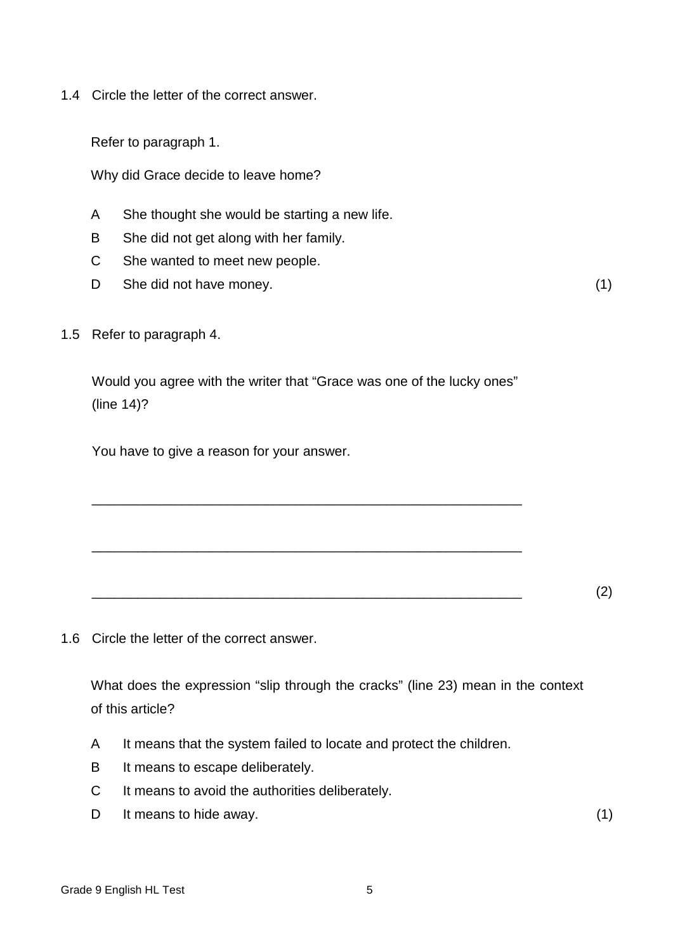1.4 Circle the letter of the correct answer.

Refer to paragraph 1.

Why did Grace decide to leave home?

- A She thought she would be starting a new life.
- B She did not get along with her family.
- C She wanted to meet new people.
- D She did not have money. (1)

1.5 Refer to paragraph 4.

Would you agree with the writer that "Grace was one of the lucky ones" (line 14)?

\_\_\_\_\_\_\_\_\_\_\_\_\_\_\_\_\_\_\_\_\_\_\_\_\_\_\_\_\_\_\_\_\_\_\_\_\_\_\_\_\_\_\_\_\_\_\_\_\_\_\_\_\_\_\_\_\_

\_\_\_\_\_\_\_\_\_\_\_\_\_\_\_\_\_\_\_\_\_\_\_\_\_\_\_\_\_\_\_\_\_\_\_\_\_\_\_\_\_\_\_\_\_\_\_\_\_\_\_\_\_\_\_\_\_

You have to give a reason for your answer.

\_\_\_\_\_\_\_\_\_\_\_\_\_\_\_\_\_\_\_\_\_\_\_\_\_\_\_\_\_\_\_\_\_\_\_\_\_\_\_\_\_\_\_\_\_\_\_\_\_\_\_\_\_\_\_\_\_ (2)

1.6 Circle the letter of the correct answer.

What does the expression "slip through the cracks" (line 23) mean in the context of this article?

- A It means that the system failed to locate and protect the children.
- B It means to escape deliberately.
- $\mathcal{C}$ It means to avoid the authorities deliberately.
- D It means to hide away. (1)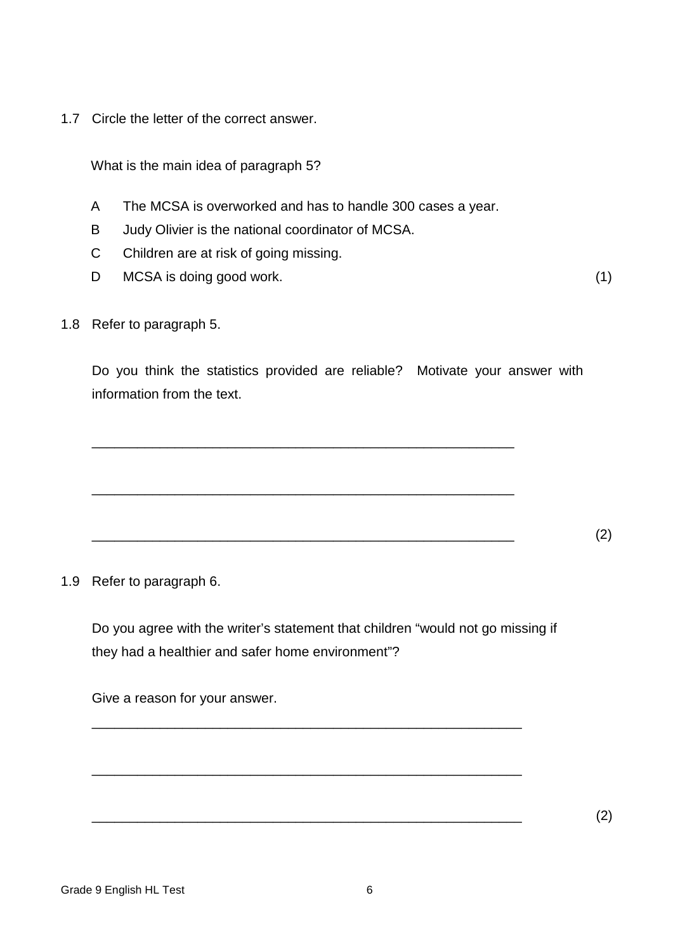1.7 Circle the letter of the correct answer.

What is the main idea of paragraph 5?

- A The MCSA is overworked and has to handle 300 cases a year.
- B Judy Olivier is the national coordinator of MCSA.
- C Children are at risk of going missing.
- D MCSA is doing good work. (1)

1.8 Refer to paragraph 5.

Do you think the statistics provided are reliable? Motivate your answer with information from the text.

\_\_\_\_\_\_\_\_\_\_\_\_\_\_\_\_\_\_\_\_\_\_\_\_\_\_\_\_\_\_\_\_\_\_\_\_\_\_\_\_\_\_\_\_\_\_\_\_\_\_\_\_\_\_\_\_ (2)

\_\_\_\_\_\_\_\_\_\_\_\_\_\_\_\_\_\_\_\_\_\_\_\_\_\_\_\_\_\_\_\_\_\_\_\_\_\_\_\_\_\_\_\_\_\_\_\_\_\_\_\_\_\_\_\_

\_\_\_\_\_\_\_\_\_\_\_\_\_\_\_\_\_\_\_\_\_\_\_\_\_\_\_\_\_\_\_\_\_\_\_\_\_\_\_\_\_\_\_\_\_\_\_\_\_\_\_\_\_\_\_\_

1.9 Refer to paragraph 6.

Do you agree with the writer's statement that children "would not go missing if they had a healthier and safer home environment"?

\_\_\_\_\_\_\_\_\_\_\_\_\_\_\_\_\_\_\_\_\_\_\_\_\_\_\_\_\_\_\_\_\_\_\_\_\_\_\_\_\_\_\_\_\_\_\_\_\_\_\_\_\_\_\_\_\_

\_\_\_\_\_\_\_\_\_\_\_\_\_\_\_\_\_\_\_\_\_\_\_\_\_\_\_\_\_\_\_\_\_\_\_\_\_\_\_\_\_\_\_\_\_\_\_\_\_\_\_\_\_\_\_\_\_

Give a reason for your answer.

\_\_\_\_\_\_\_\_\_\_\_\_\_\_\_\_\_\_\_\_\_\_\_\_\_\_\_\_\_\_\_\_\_\_\_\_\_\_\_\_\_\_\_\_\_\_\_\_\_\_\_\_\_\_\_\_\_ (2)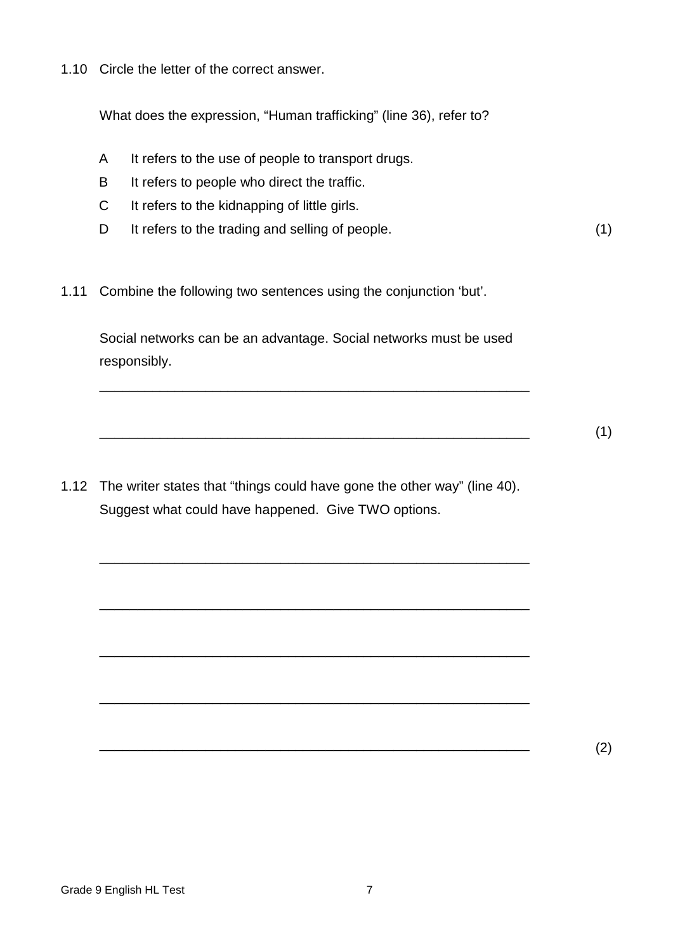1.10 Circle the letter of the correct answer.

What does the expression, "Human trafficking" (line 36), refer to?

- A It refers to the use of people to transport drugs.
- B It refers to people who direct the traffic.
- C It refers to the kidnapping of little girls.
- D It refers to the trading and selling of people. (1)
- 1.11 Combine the following two sentences using the conjunction 'but'.

Social networks can be an advantage. Social networks must be used responsibly.

\_\_\_\_\_\_\_\_\_\_\_\_\_\_\_\_\_\_\_\_\_\_\_\_\_\_\_\_\_\_\_\_\_\_\_\_\_\_\_\_\_\_\_\_\_\_\_\_\_\_\_\_\_\_\_\_\_

\_\_\_\_\_\_\_\_\_\_\_\_\_\_\_\_\_\_\_\_\_\_\_\_\_\_\_\_\_\_\_\_\_\_\_\_\_\_\_\_\_\_\_\_\_\_\_\_\_\_\_\_\_\_\_\_\_ (1)

1.12 The writer states that "things could have gone the other way" (line 40). Suggest what could have happened. Give TWO options.

\_\_\_\_\_\_\_\_\_\_\_\_\_\_\_\_\_\_\_\_\_\_\_\_\_\_\_\_\_\_\_\_\_\_\_\_\_\_\_\_\_\_\_\_\_\_\_\_\_\_\_\_\_\_\_\_\_

\_\_\_\_\_\_\_\_\_\_\_\_\_\_\_\_\_\_\_\_\_\_\_\_\_\_\_\_\_\_\_\_\_\_\_\_\_\_\_\_\_\_\_\_\_\_\_\_\_\_\_\_\_\_\_\_\_

\_\_\_\_\_\_\_\_\_\_\_\_\_\_\_\_\_\_\_\_\_\_\_\_\_\_\_\_\_\_\_\_\_\_\_\_\_\_\_\_\_\_\_\_\_\_\_\_\_\_\_\_\_\_\_\_\_

\_\_\_\_\_\_\_\_\_\_\_\_\_\_\_\_\_\_\_\_\_\_\_\_\_\_\_\_\_\_\_\_\_\_\_\_\_\_\_\_\_\_\_\_\_\_\_\_\_\_\_\_\_\_\_\_\_

 $\overline{\phantom{a}}$  (2)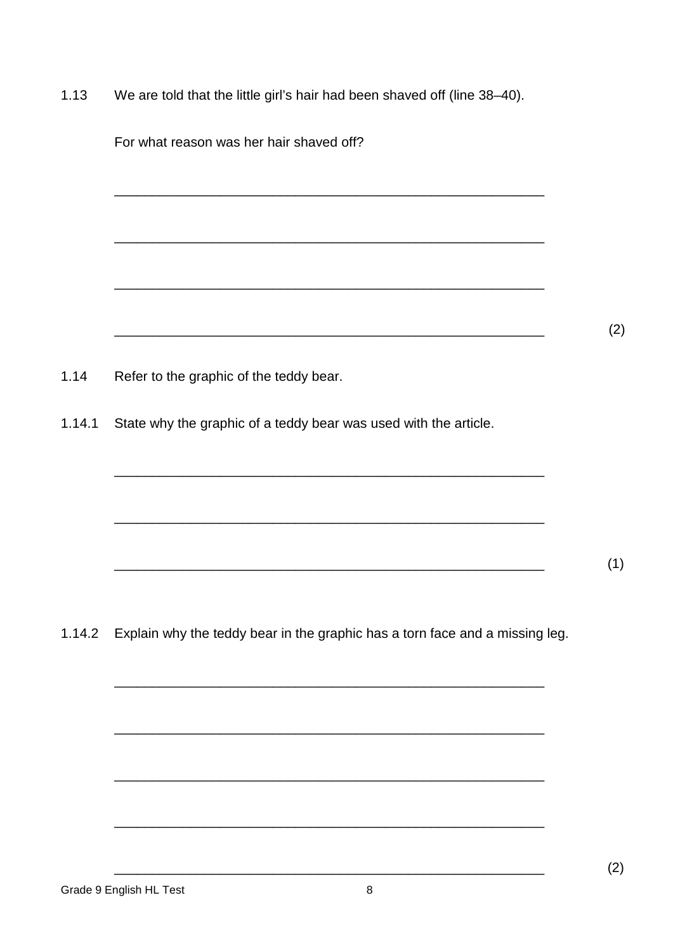$1.13$ We are told that the little girl's hair had been shaved off (line 38-40).

| For what reason was her hair shaved off?                                                                              |  |
|-----------------------------------------------------------------------------------------------------------------------|--|
|                                                                                                                       |  |
|                                                                                                                       |  |
|                                                                                                                       |  |
|                                                                                                                       |  |
|                                                                                                                       |  |
| Refer to the graphic of the teddy bear.                                                                               |  |
| State why the graphic of a teddy bear was used with the article.                                                      |  |
|                                                                                                                       |  |
|                                                                                                                       |  |
|                                                                                                                       |  |
| <u> 1989 - Johann Stoff, deutscher Stoff, der Stoff, der Stoff, der Stoff, der Stoff, der Stoff, der Stoff, der S</u> |  |
| 1.14.2 Explain why the teddy bear in the graphic has a torn face and a missing leg.                                   |  |
|                                                                                                                       |  |
|                                                                                                                       |  |
|                                                                                                                       |  |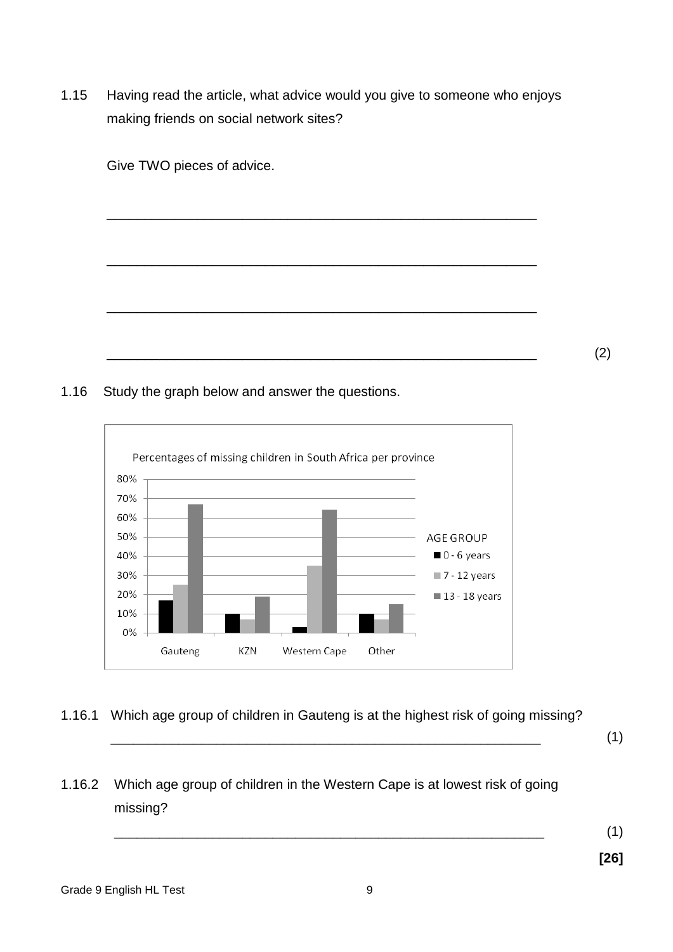1.15 Having read the article, what advice would you give to someone who enjoys making friends on social network sites?

Give TWO pieces of advice. \_\_\_\_\_\_\_\_\_\_\_\_\_\_\_\_\_\_\_\_\_\_\_\_\_\_\_\_\_\_\_\_\_\_\_\_\_\_\_\_\_\_\_\_\_\_\_\_\_\_\_\_\_\_\_\_\_ \_\_\_\_\_\_\_\_\_\_\_\_\_\_\_\_\_\_\_\_\_\_\_\_\_\_\_\_\_\_\_\_\_\_\_\_\_\_\_\_\_\_\_\_\_\_\_\_\_\_\_\_\_\_\_\_\_ \_\_\_\_\_\_\_\_\_\_\_\_\_\_\_\_\_\_\_\_\_\_\_\_\_\_\_\_\_\_\_\_\_\_\_\_\_\_\_\_\_\_\_\_\_\_\_\_\_\_\_\_\_\_\_\_\_

\_\_\_\_\_\_\_\_\_\_\_\_\_\_\_\_\_\_\_\_\_\_\_\_\_\_\_\_\_\_\_\_\_\_\_\_\_\_\_\_\_\_\_\_\_\_\_\_\_\_\_\_\_\_\_\_\_ (2)

#### 1.16 Study the graph below and answer the questions.



## 1.16.1 Which age group of children in Gauteng is at the highest risk of going missing?

\_\_\_\_\_\_\_\_\_\_\_\_\_\_\_\_\_\_\_\_\_\_\_\_\_\_\_\_\_\_\_\_\_\_\_\_\_\_\_\_\_\_\_\_\_\_\_\_\_\_\_\_\_\_\_\_\_ (1)

1.16.2 Which age group of children in the Western Cape is at lowest risk of going missing?

\_\_\_\_\_\_\_\_\_\_\_\_\_\_\_\_\_\_\_\_\_\_\_\_\_\_\_\_\_\_\_\_\_\_\_\_\_\_\_\_\_\_\_\_\_\_\_\_\_\_\_\_\_\_\_\_\_ (1)

**[26]**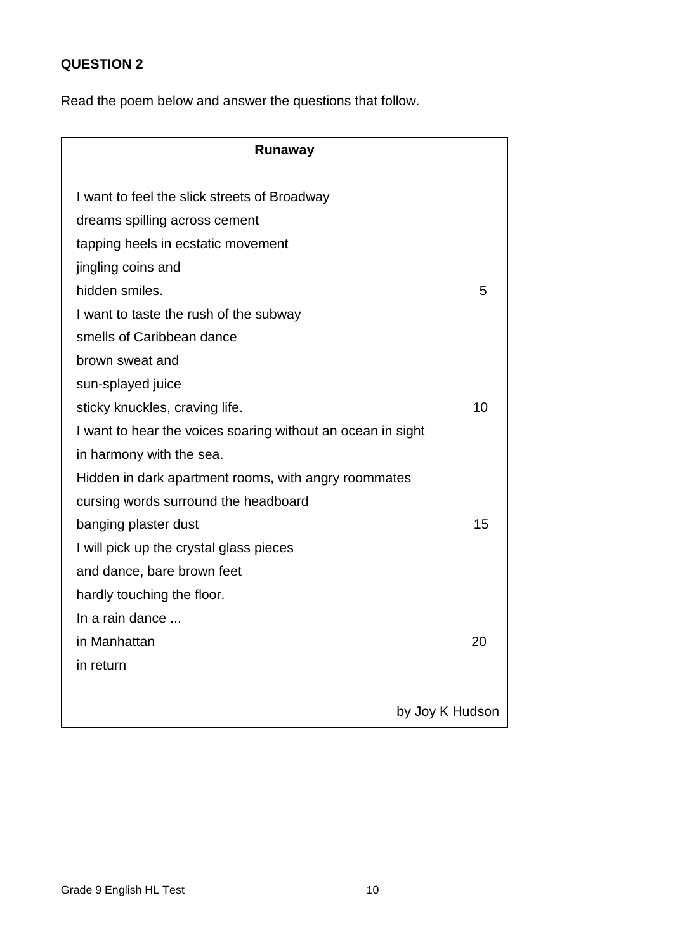## **QUESTION 2**

Read the poem below and answer the questions that follow.

| Runaway                                                     |                 |
|-------------------------------------------------------------|-----------------|
|                                                             |                 |
| I want to feel the slick streets of Broadway                |                 |
| dreams spilling across cement                               |                 |
| tapping heels in ecstatic movement                          |                 |
| jingling coins and                                          |                 |
| hidden smiles.                                              | 5               |
| I want to taste the rush of the subway                      |                 |
| smells of Caribbean dance                                   |                 |
| brown sweat and                                             |                 |
| sun-splayed juice                                           |                 |
| sticky knuckles, craving life.                              | 10              |
| I want to hear the voices soaring without an ocean in sight |                 |
| in harmony with the sea.                                    |                 |
| Hidden in dark apartment rooms, with angry roommates        |                 |
| cursing words surround the headboard                        |                 |
| banging plaster dust                                        | 15              |
| I will pick up the crystal glass pieces                     |                 |
| and dance, bare brown feet                                  |                 |
| hardly touching the floor.                                  |                 |
| In a rain dance                                             |                 |
| in Manhattan                                                | 20              |
| in return                                                   |                 |
|                                                             |                 |
|                                                             | by Joy K Hudson |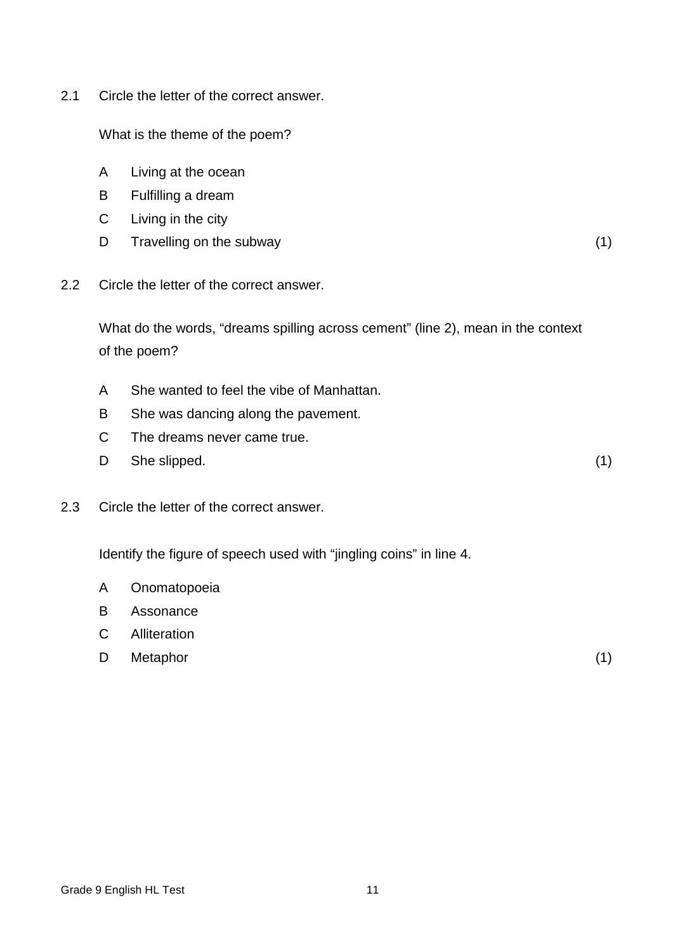2.1 Circle the letter of the correct answer.

What is the theme of the poem?

- A Living at the ocean
- B Fulfilling a dream
- $\mathsf{C}$ Living in the city
- D Travelling on the subway (1) (1)
- 2.2 Circle the letter of the correct answer.

What do the words, "dreams spilling across cement" (line 2), mean in the context of the poem?

- A She wanted to feel the vibe of Manhattan.
- B She was dancing along the pavement.
- C The dreams never came true.
- D She slipped. (1)
- 2.3 Circle the letter of the correct answer.

Identify the figure of speech used with "jingling coins" in line 4.

- A Onomatopoeia
- B Assonance
- C Alliteration
- D Metaphor (1) (1)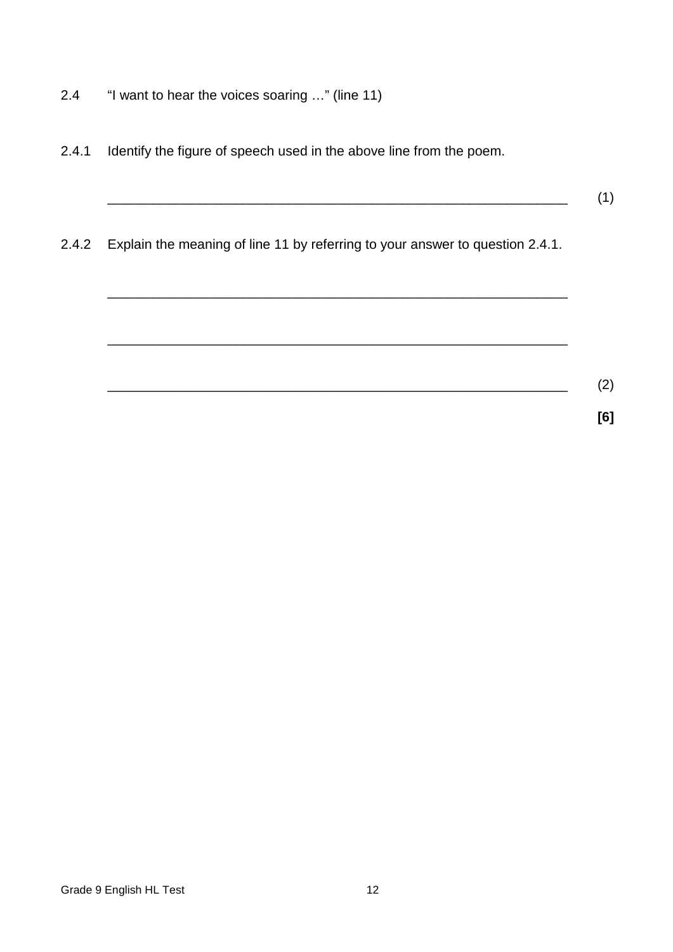- 2.4 "I want to hear the voices soaring …" (line 11)
- 2.4.1 Identify the figure of speech used in the above line from the poem.
- 2.4.2 Explain the meaning of line 11 by referring to your answer to question 2.4.1.

\_\_\_\_\_\_\_\_\_\_\_\_\_\_\_\_\_\_\_\_\_\_\_\_\_\_\_\_\_\_\_\_\_\_\_\_\_\_\_\_\_\_\_\_\_\_\_\_\_\_\_\_\_\_\_\_\_\_\_\_\_

\_\_\_\_\_\_\_\_\_\_\_\_\_\_\_\_\_\_\_\_\_\_\_\_\_\_\_\_\_\_\_\_\_\_\_\_\_\_\_\_\_\_\_\_\_\_\_\_\_\_\_\_\_\_\_\_\_\_\_\_\_ \_\_\_\_\_\_\_\_\_\_\_\_\_\_\_\_\_\_\_\_\_\_\_\_\_\_\_\_\_\_\_\_\_\_\_\_\_\_\_\_\_\_\_\_\_\_\_\_\_\_\_\_\_\_\_\_\_\_\_\_\_ (2) **[6]**

\_\_\_\_\_\_\_\_\_\_\_\_\_\_\_\_\_\_\_\_\_\_\_\_\_\_\_\_\_\_\_\_\_\_\_\_\_\_\_\_\_\_\_\_\_\_\_\_\_\_\_\_\_\_\_\_\_\_\_\_\_ (1)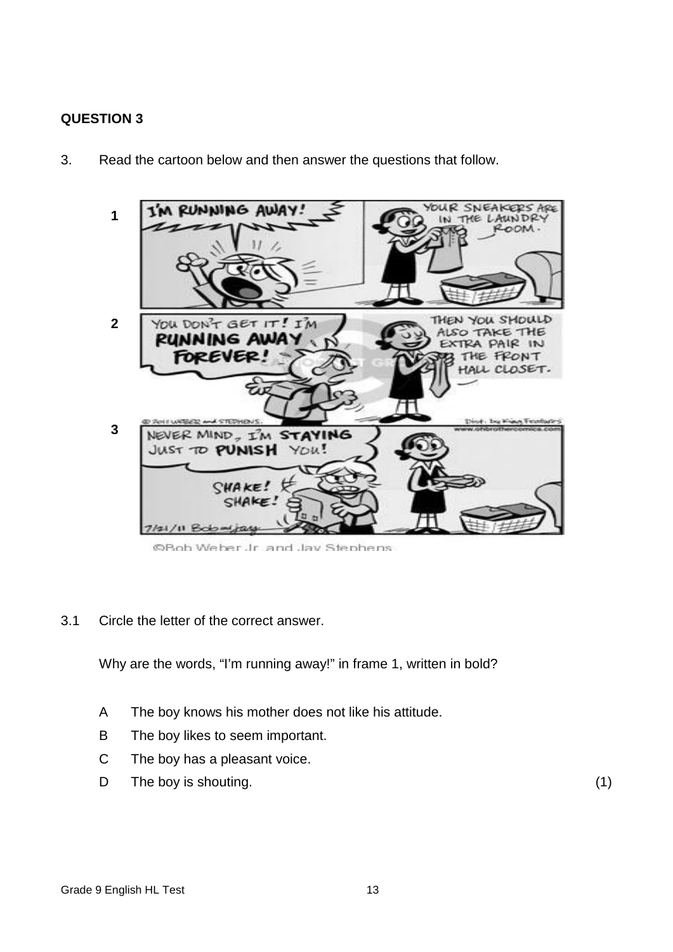## **QUESTION 3**



3. Read the cartoon below and then answer the questions that follow.

@Bob Weber Jr. and Jav Stephens

3.1 Circle the letter of the correct answer.

Why are the words, "I'm running away!" in frame 1, written in bold?

- A The boy knows his mother does not like his attitude.
- B The boy likes to seem important.
- C The boy has a pleasant voice.
- D The boy is shouting. (1) (1)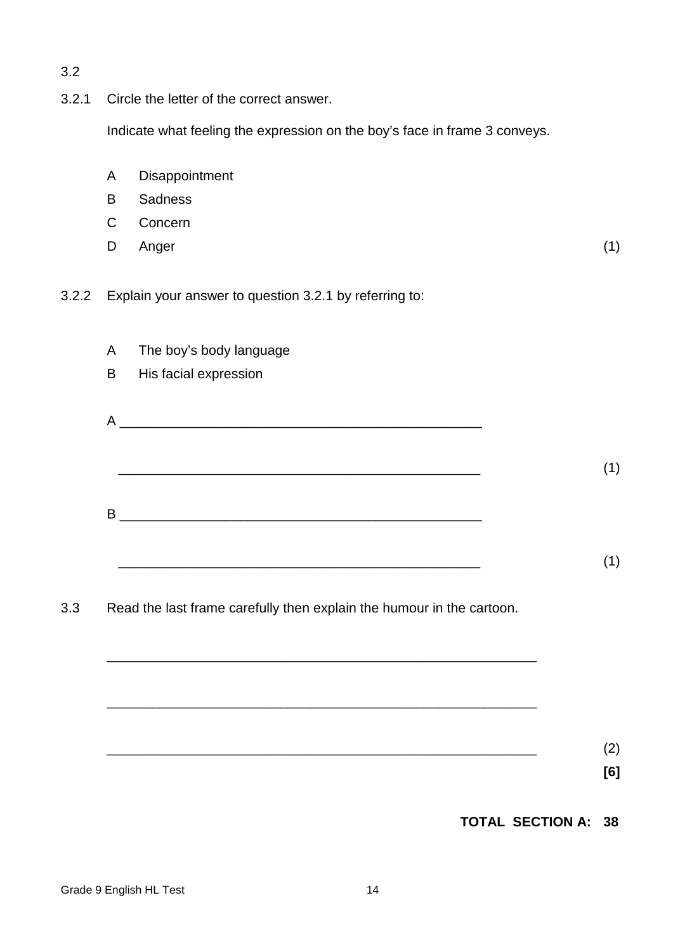3.2 3.2.1 Circle the letter of the correct answer. Indicate what feeling the expression on the boy's face in frame 3 conveys. A B  $\mathcal{C}$ D Disappointment **Sadness** Concern Anger (1) 3.2.2 Explain your answer to question 3.2.1 by referring to: A The boy's body language B His facial expression  $\overline{A}$  \_\_\_\_\_\_\_\_\_\_\_\_\_\_\_\_\_\_\_\_\_\_\_\_\_\_\_\_\_\_\_\_\_\_\_\_\_\_\_\_\_\_\_\_\_\_\_\_  $B$  \_\_\_\_\_\_\_\_\_\_\_\_\_\_\_\_\_\_\_\_\_\_\_\_\_\_\_\_\_\_\_\_\_\_\_\_\_\_\_\_\_\_\_\_\_\_\_\_ (1) (1) 3.3 Read the last frame carefully then explain the humour in the cartoon. \_\_\_\_\_\_\_\_\_\_\_\_\_\_\_\_\_\_\_\_\_\_\_\_\_\_\_\_\_\_\_\_\_\_\_\_\_\_\_\_\_\_\_\_\_\_\_\_\_\_\_\_\_\_\_\_\_ \_\_\_\_\_\_\_\_\_\_\_\_\_\_\_\_\_\_\_\_\_\_\_\_\_\_\_\_\_\_\_\_\_\_\_\_\_\_\_\_\_\_\_\_\_\_\_\_\_\_\_\_\_\_\_\_\_ \_\_\_\_\_\_\_\_\_\_\_\_\_\_\_\_\_\_\_\_\_\_\_\_\_\_\_\_\_\_\_\_\_\_\_\_\_\_\_\_\_\_\_\_\_\_\_\_\_\_\_\_\_\_\_\_\_ (2) **[6] TOTAL SECTION A: 38**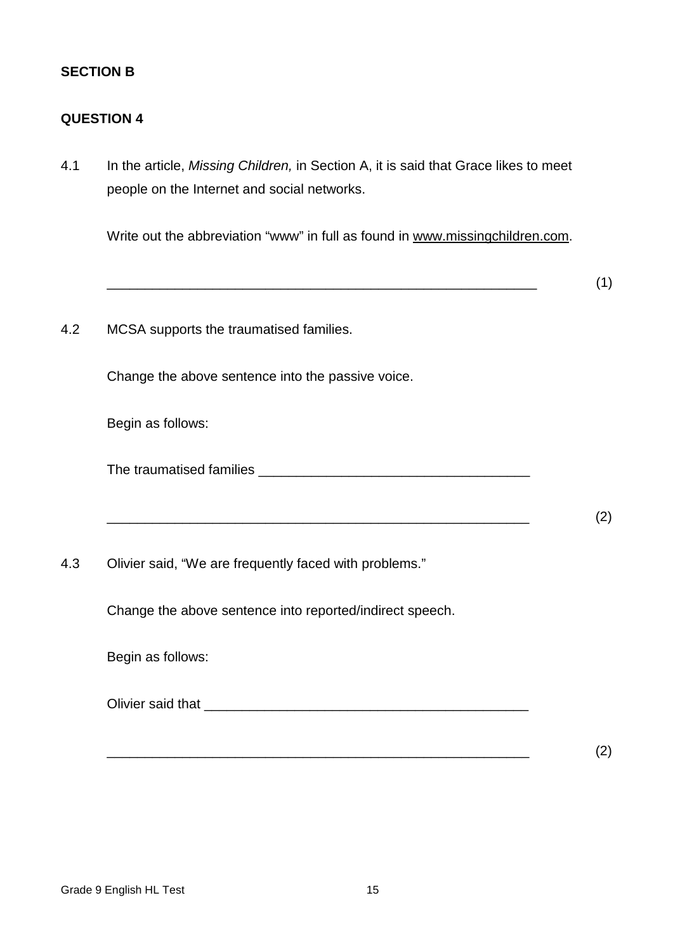## **SECTION B**

#### **QUESTION 4**

4.1 In the article, *Missing Children,* in Section A, it is said that Grace likes to meet people on the Internet and social networks.

Write out the abbreviation "www" in full as found in [www.missingchildren.com.](http://www.missingchildren.com/)

\_\_\_\_\_\_\_\_\_\_\_\_\_\_\_\_\_\_\_\_\_\_\_\_\_\_\_\_\_\_\_\_\_\_\_\_\_\_\_\_\_\_\_\_\_\_\_\_\_\_\_\_\_\_\_\_\_ (1) 4.2 MCSA supports the traumatised families. Change the above sentence into the passive voice. Begin as follows: The traumatised families \_\_\_\_\_\_\_\_\_\_\_\_\_\_\_\_\_\_\_\_\_\_\_\_\_\_\_\_\_\_\_\_\_\_\_\_ \_\_\_\_\_\_\_\_\_\_\_\_\_\_\_\_\_\_\_\_\_\_\_\_\_\_\_\_\_\_\_\_\_\_\_\_\_\_\_\_\_\_\_\_\_\_\_\_\_\_\_\_\_\_\_\_ (2) 4.3 Olivier said, "We are frequently faced with problems." Change the above sentence into reported/indirect speech. Begin as follows: Olivier said that \_\_\_\_\_\_\_\_\_\_\_\_\_\_\_\_\_\_\_\_\_\_\_\_\_\_\_\_\_\_\_\_\_\_\_\_\_\_\_\_\_\_\_ \_\_\_\_\_\_\_\_\_\_\_\_\_\_\_\_\_\_\_\_\_\_\_\_\_\_\_\_\_\_\_\_\_\_\_\_\_\_\_\_\_\_\_\_\_\_\_\_\_\_\_\_\_\_\_\_ (2)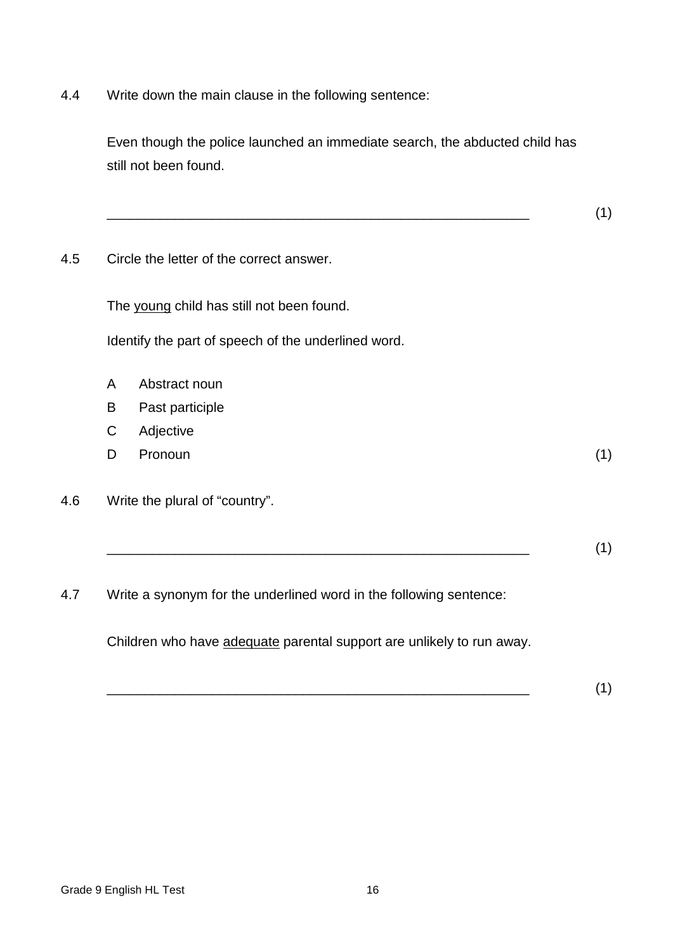4.4 Write down the main clause in the following sentence:

Even though the police launched an immediate search, the abducted child has still not been found.

\_\_\_\_\_\_\_\_\_\_\_\_\_\_\_\_\_\_\_\_\_\_\_\_\_\_\_\_\_\_\_\_\_\_\_\_\_\_\_\_\_\_\_\_\_\_\_\_\_\_\_\_\_\_\_\_ (1)

4.5 Circle the letter of the correct answer.

The young child has still not been found.

Identify the part of speech of the underlined word.

- A Abstract noun
- B Past participle
- C Adjective
- D Pronoun (1)
- 4.6 Write the plural of "country".
	- \_\_\_\_\_\_\_\_\_\_\_\_\_\_\_\_\_\_\_\_\_\_\_\_\_\_\_\_\_\_\_\_\_\_\_\_\_\_\_\_\_\_\_\_\_\_\_\_\_\_\_\_\_\_\_\_ (1)
- 4.7 Write a synonym for the underlined word in the following sentence:

Children who have adequate parental support are unlikely to run away.

\_\_\_\_\_\_\_\_\_\_\_\_\_\_\_\_\_\_\_\_\_\_\_\_\_\_\_\_\_\_\_\_\_\_\_\_\_\_\_\_\_\_\_\_\_\_\_\_\_\_\_\_\_\_\_\_ (1)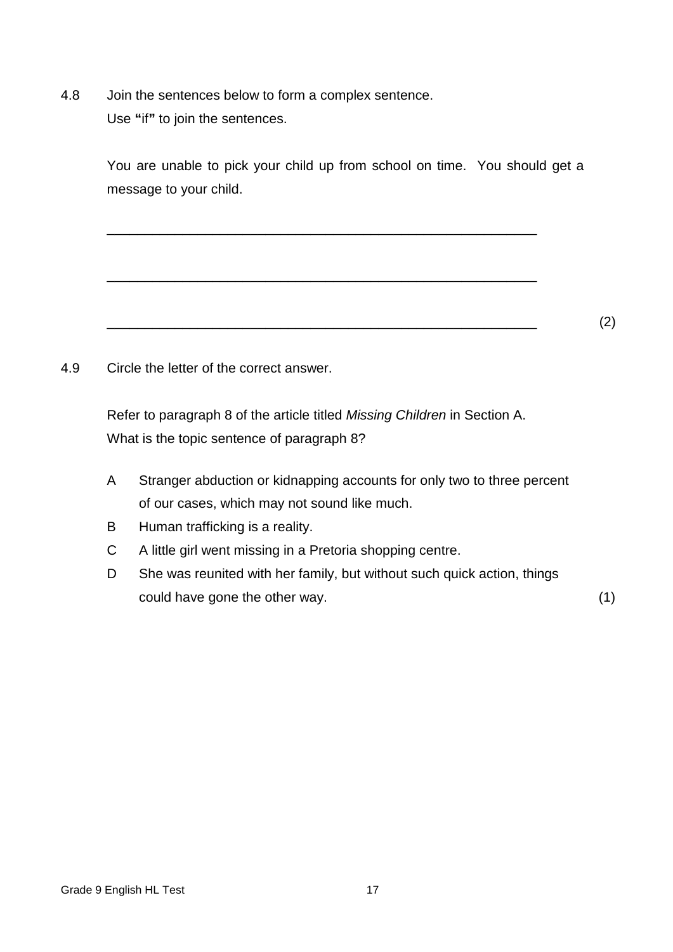4.8 Join the sentences below to form a complex sentence. Use **"**if**"** to join the sentences.

> You are unable to pick your child up from school on time. You should get a message to your child.

\_\_\_\_\_\_\_\_\_\_\_\_\_\_\_\_\_\_\_\_\_\_\_\_\_\_\_\_\_\_\_\_\_\_\_\_\_\_\_\_\_\_\_\_\_\_\_\_\_\_\_\_\_\_\_\_\_

\_\_\_\_\_\_\_\_\_\_\_\_\_\_\_\_\_\_\_\_\_\_\_\_\_\_\_\_\_\_\_\_\_\_\_\_\_\_\_\_\_\_\_\_\_\_\_\_\_\_\_\_\_\_\_\_\_

\_\_\_\_\_\_\_\_\_\_\_\_\_\_\_\_\_\_\_\_\_\_\_\_\_\_\_\_\_\_\_\_\_\_\_\_\_\_\_\_\_\_\_\_\_\_\_\_\_\_\_\_\_\_\_\_\_ (2)

4.9 Circle the letter of the correct answer.

Refer to paragraph 8 of the article titled *Missing Children* in Section A. What is the topic sentence of paragraph 8?

- A Stranger abduction or kidnapping accounts for only two to three percent of our cases, which may not sound like much.
- B Human trafficking is a reality.
- C A little girl went missing in a Pretoria shopping centre.
- D She was reunited with her family, but without such quick action, things could have gone the other way. (1)

Grade 9 English HL Test 17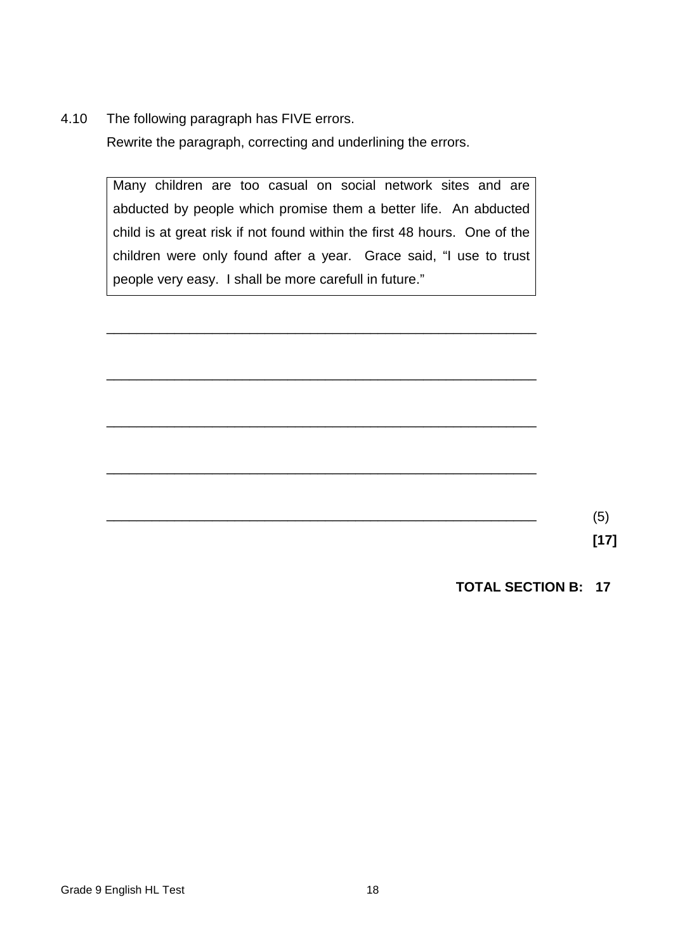4.10 The following paragraph has FIVE errors. Rewrite the paragraph, correcting and underlining the errors.

> Many children are too casual on social network sites and are abducted by people which promise them a better life. An abducted child is at great risk if not found within the first 48 hours. One of the children were only found after a year. Grace said, "I use to trust people very easy. I shall be more carefull in future."

> \_\_\_\_\_\_\_\_\_\_\_\_\_\_\_\_\_\_\_\_\_\_\_\_\_\_\_\_\_\_\_\_\_\_\_\_\_\_\_\_\_\_\_\_\_\_\_\_\_\_\_\_\_\_\_\_\_

\_\_\_\_\_\_\_\_\_\_\_\_\_\_\_\_\_\_\_\_\_\_\_\_\_\_\_\_\_\_\_\_\_\_\_\_\_\_\_\_\_\_\_\_\_\_\_\_\_\_\_\_\_\_\_\_\_

\_\_\_\_\_\_\_\_\_\_\_\_\_\_\_\_\_\_\_\_\_\_\_\_\_\_\_\_\_\_\_\_\_\_\_\_\_\_\_\_\_\_\_\_\_\_\_\_\_\_\_\_\_\_\_\_\_

\_\_\_\_\_\_\_\_\_\_\_\_\_\_\_\_\_\_\_\_\_\_\_\_\_\_\_\_\_\_\_\_\_\_\_\_\_\_\_\_\_\_\_\_\_\_\_\_\_\_\_\_\_\_\_\_\_

 $\overline{\phantom{a}}$  (5)

**[17]**

**TOTAL SECTION B: 17**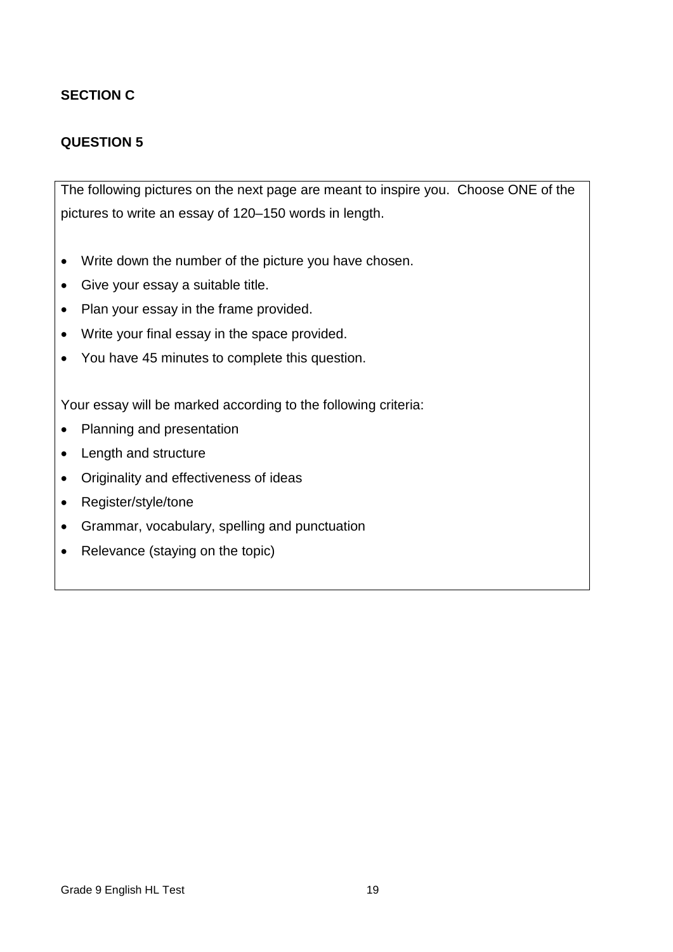## **SECTION C**

## **QUESTION 5**

The following pictures on the next page are meant to inspire you. Choose ONE of the pictures to write an essay of 120–150 words in length.

- Write down the number of the picture you have chosen.
- Give your essay a suitable title.
- Plan your essay in the frame provided.
- Write your final essay in the space provided.
- You have 45 minutes to complete this question.

Your essay will be marked according to the following criteria:

- Planning and presentation
- Length and structure
- Originality and effectiveness of ideas
- Register/style/tone
- Grammar, vocabulary, spelling and punctuation
- Relevance (staying on the topic)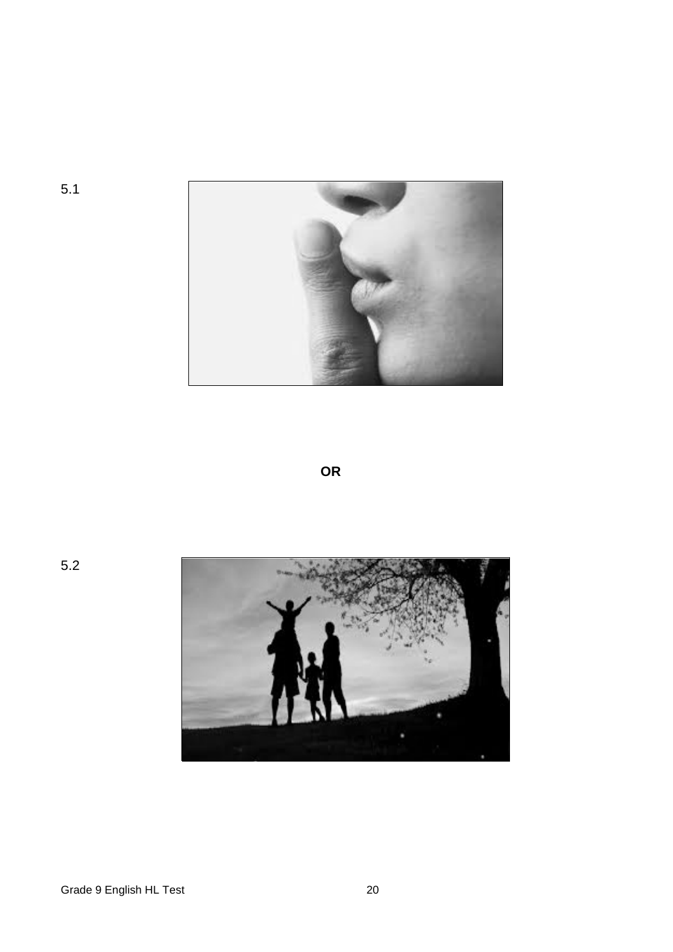

**OR**

5.2

5.1

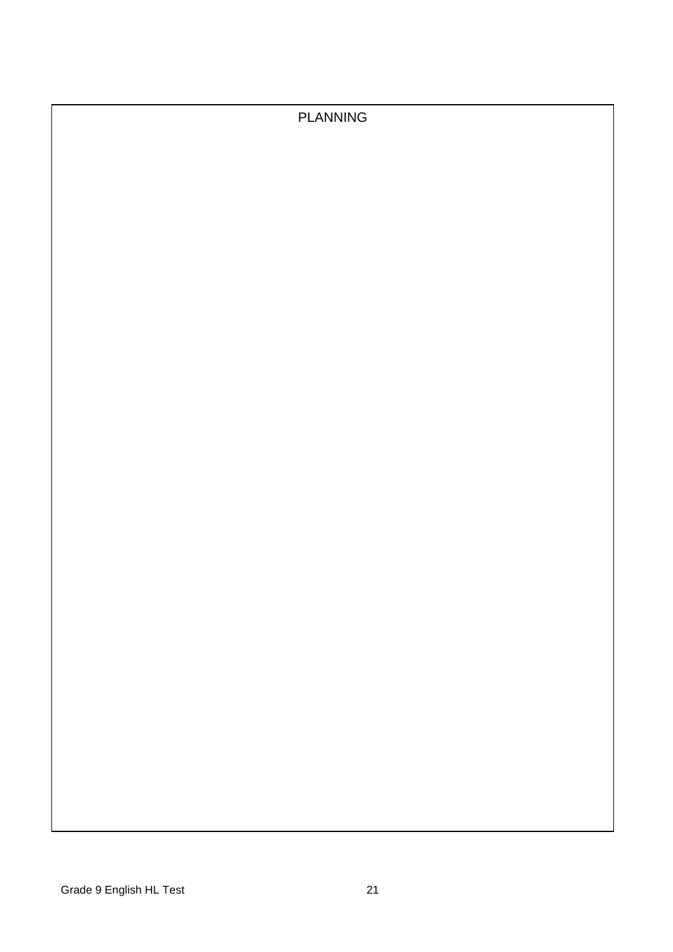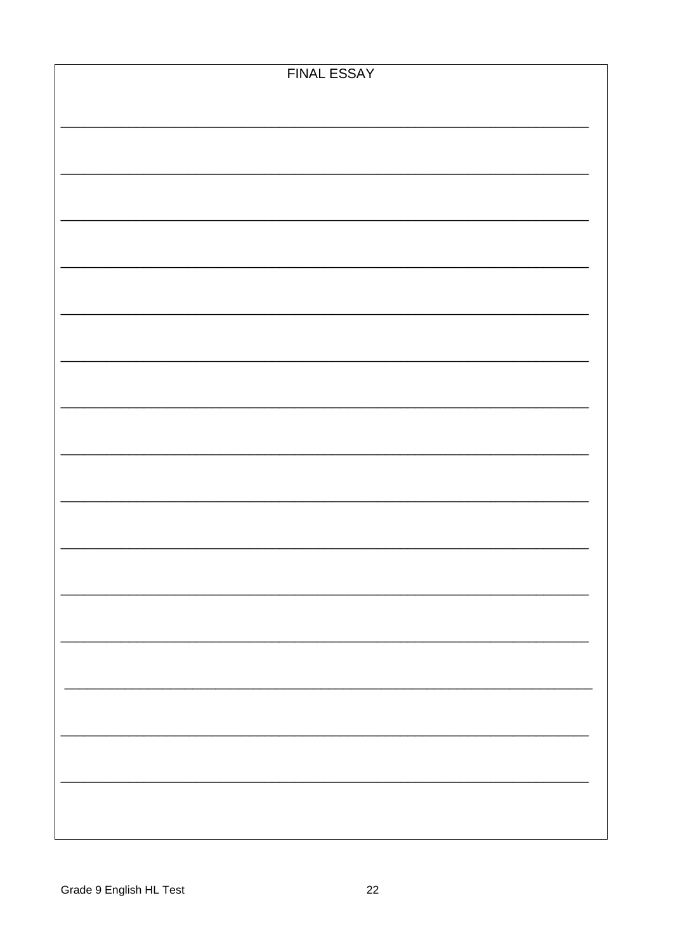| <b>FINAL ESSAY</b> |
|--------------------|
|                    |
|                    |
|                    |
|                    |
|                    |
|                    |
|                    |
|                    |
|                    |
|                    |
|                    |
|                    |
|                    |
|                    |
|                    |
|                    |
|                    |
|                    |
|                    |
|                    |
|                    |
|                    |
|                    |
|                    |
|                    |
|                    |
|                    |
|                    |
|                    |
|                    |
|                    |
|                    |
|                    |
|                    |
|                    |
|                    |
|                    |
|                    |
|                    |
|                    |
|                    |
|                    |
|                    |
|                    |
|                    |
|                    |
|                    |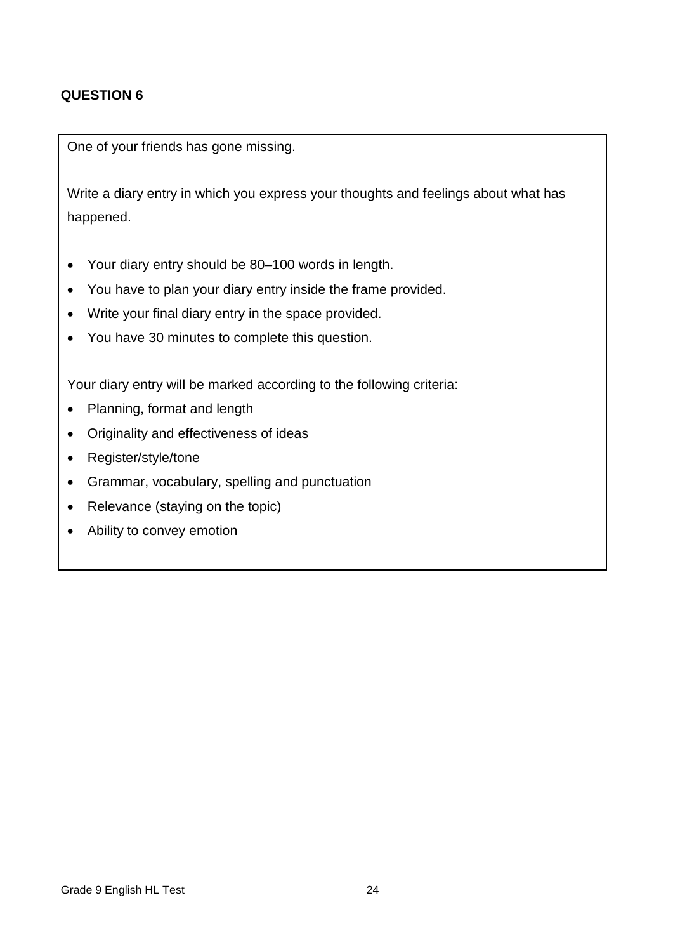## **QUESTION 6**

One of your friends has gone missing.

Write a diary entry in which you express your thoughts and feelings about what has happened.

- Your diary entry should be 80–100 words in length.
- You have to plan your diary entry inside the frame provided.
- Write your final diary entry in the space provided.
- You have 30 minutes to complete this question.

Your diary entry will be marked according to the following criteria:

- Planning, format and length
- Originality and effectiveness of ideas
- Register/style/tone
- Grammar, vocabulary, spelling and punctuation
- Relevance (staying on the topic)
- Ability to convey emotion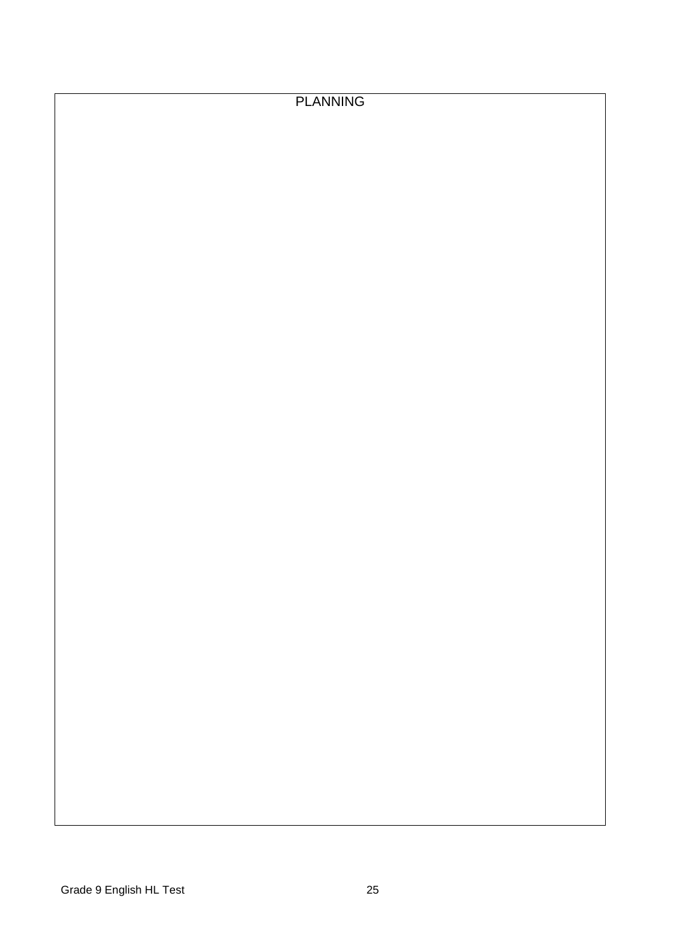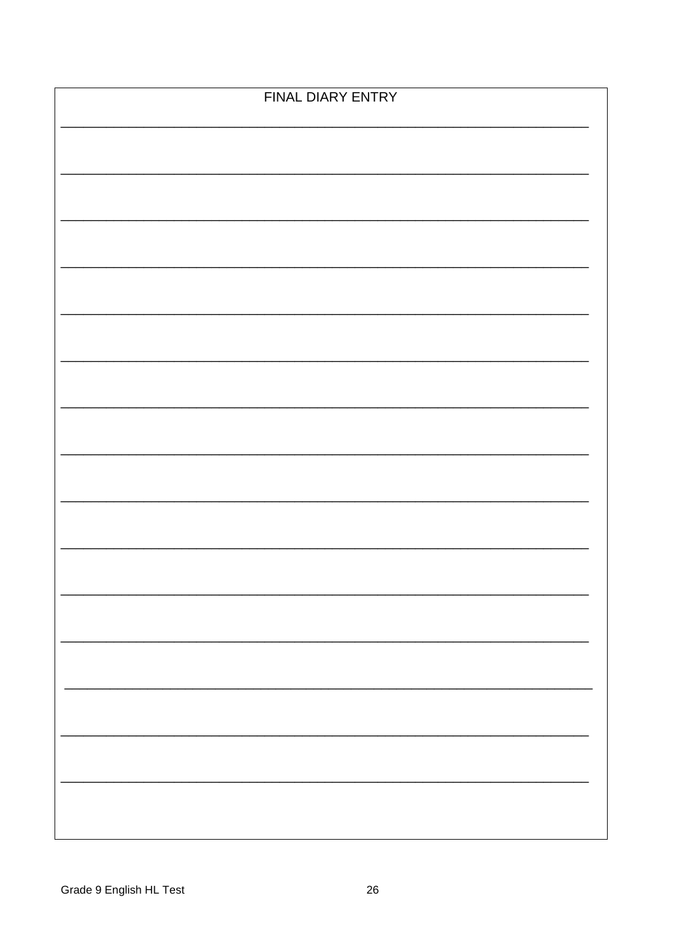| FINAL DIARY ENTRY |  |  |  |  |
|-------------------|--|--|--|--|
|                   |  |  |  |  |
|                   |  |  |  |  |
|                   |  |  |  |  |
|                   |  |  |  |  |
|                   |  |  |  |  |
|                   |  |  |  |  |
|                   |  |  |  |  |
|                   |  |  |  |  |
|                   |  |  |  |  |
|                   |  |  |  |  |
|                   |  |  |  |  |
|                   |  |  |  |  |
|                   |  |  |  |  |
|                   |  |  |  |  |
|                   |  |  |  |  |
|                   |  |  |  |  |
|                   |  |  |  |  |
|                   |  |  |  |  |
|                   |  |  |  |  |
|                   |  |  |  |  |
|                   |  |  |  |  |
|                   |  |  |  |  |
|                   |  |  |  |  |
|                   |  |  |  |  |